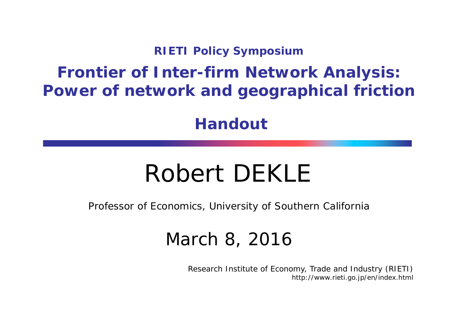#### **RIETI Policy Symposium**

#### **Frontier of Inter-firm Network Analysis: Power of network and geographical friction**

**Handout**

### Robert DEKLE

Professor of Economics, University of Southern California

#### March 8, 2016

Research Institute of Economy, Trade and Industry (RIETI) http://www.rieti.go.jp/en/index.html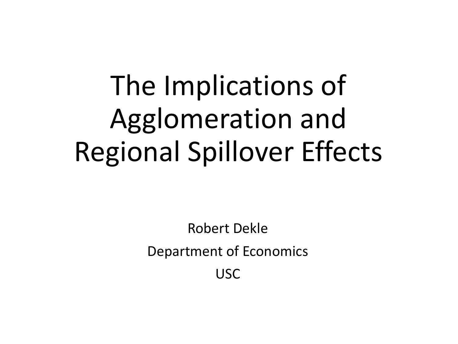# The Implications of Agglomeration and Regional Spillover Effects

Robert Dekle Department of Economics USC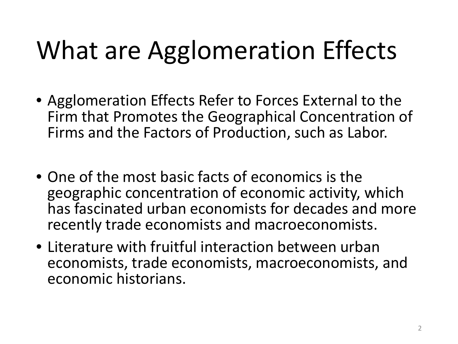### What are Agglomeration Effects

- Agglomeration Effects Refer to Forces External to the Firm that Promotes the Geographical Concentration of Firms and the Factors of Production, such as Labor.
- One of the most basic facts of economics is the geographic concentration of economic activity, which has fascinated urban economists for decades and more recently trade economists and macroeconomists.
- Literature with fruitful interaction between urban economists, trade economists, macroeconomists, and economic historians.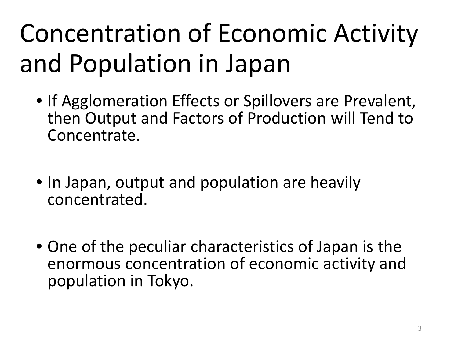## Concentration of Economic Activity and Population in Japan

- If Agglomeration Effects or Spillovers are Prevalent, then Output and Factors of Production will Tend to Concentrate.
- In Japan, output and population are heavily concentrated.
- One of the peculiar characteristics of Japan is the enormous concentration of economic activity and population in Tokyo.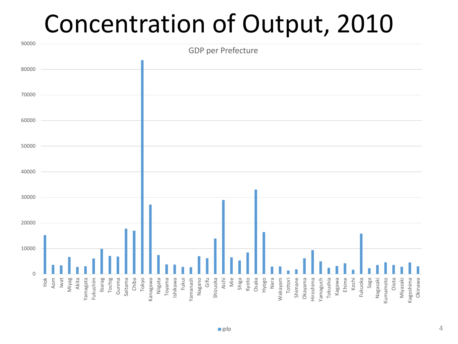#### Concentration of Output, 2010

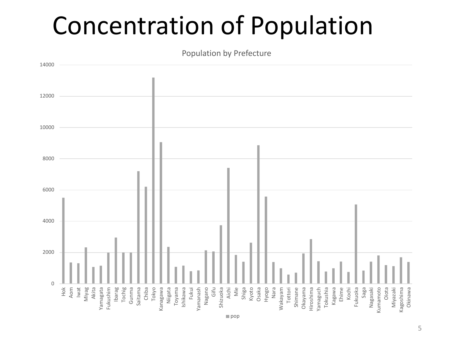#### Concentration of Population

Population by Prefecture

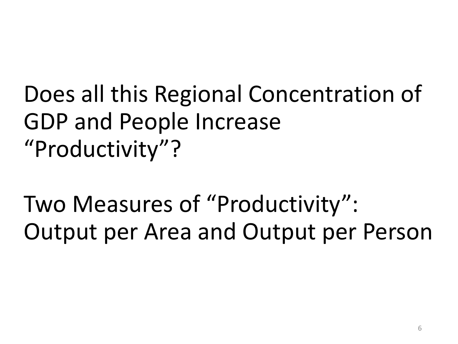#### Does all this Regional Concentration of GDP and People Increase "Productivity"?

Two Measures of "Productivity": Output per Area and Output per Person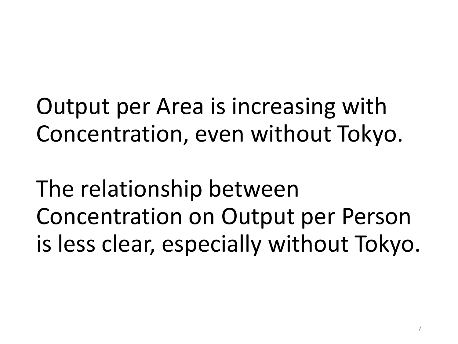Output per Area is increasing with Concentration, even without Tokyo.

The relationship between Concentration on Output per Person is less clear, especially without Tokyo.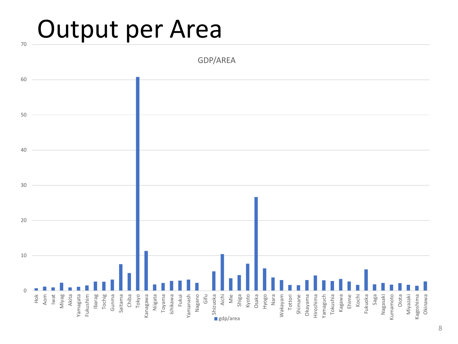#### Output per Area

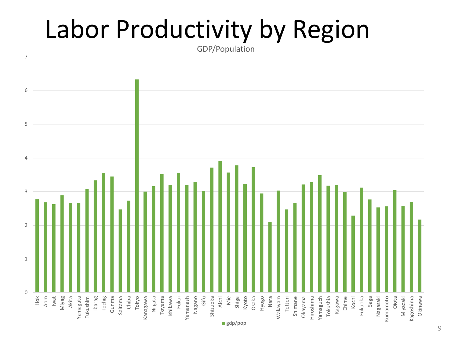### Labor Productivity by Region

GDP/Population

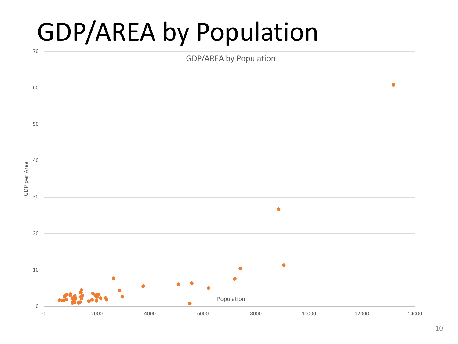#### GDP/AREA by Population

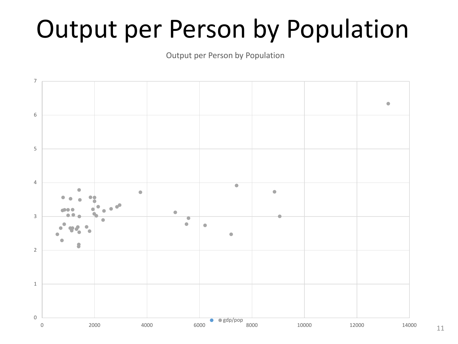#### Output per Person by Population

Output per Person by Population

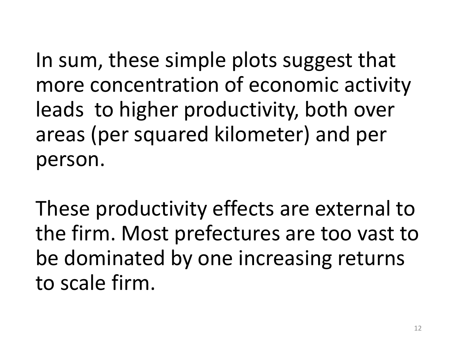In sum, these simple plots suggest that more concentration of economic activity leads to higher productivity, both over areas (per squared kilometer) and per person.

These productivity effects are external to the firm. Most prefectures are too vast to be dominated by one increasing returns to scale firm.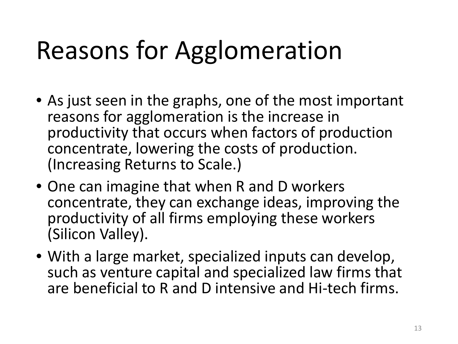### Reasons for Agglomeration

- As just seen in the graphs, one of the most important reasons for agglomeration is the increase in productivity that occurs when factors of production concentrate, lowering the costs of production. (Increasing Returns to Scale.)
- One can imagine that when R and D workers concentrate, they can exchange ideas, improving the productivity of all firms employing these workers (Silicon Valley).
- With a large market, specialized inputs can develop, such as venture capital and specialized law firms that are beneficial to R and D intensive and Hi-tech firms.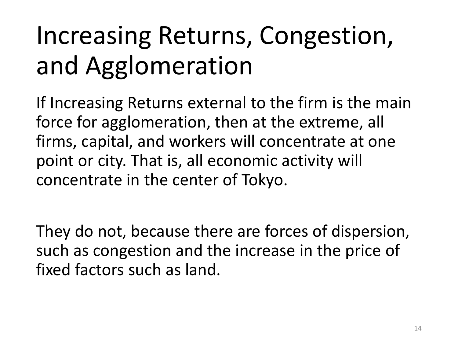## Increasing Returns, Congestion, and Agglomeration

If Increasing Returns external to the firm is the main force for agglomeration, then at the extreme, all firms, capital, and workers will concentrate at one point or city. That is, all economic activity will concentrate in the center of Tokyo.

They do not, because there are forces of dispersion, such as congestion and the increase in the price of fixed factors such as land.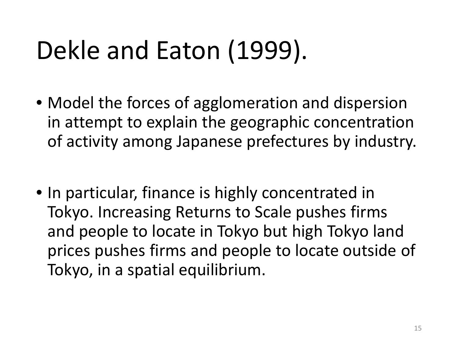### Dekle and Eaton (1999).

- Model the forces of agglomeration and dispersion in attempt to explain the geographic concentration of activity among Japanese prefectures by industry.
- In particular, finance is highly concentrated in Tokyo. Increasing Returns to Scale pushes firms and people to locate in Tokyo but high Tokyo land prices pushes firms and people to locate outside of Tokyo, in a spatial equilibrium.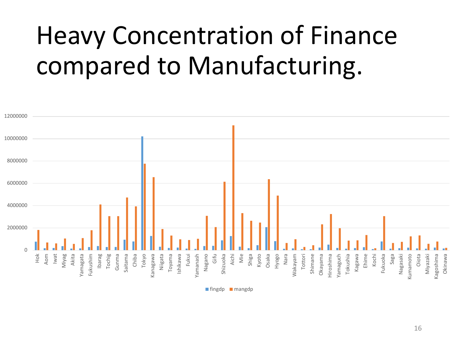### Heavy Concentration of Finance compared to Manufacturing.



 $\blacksquare$  fingdp  $\blacksquare$  mangdp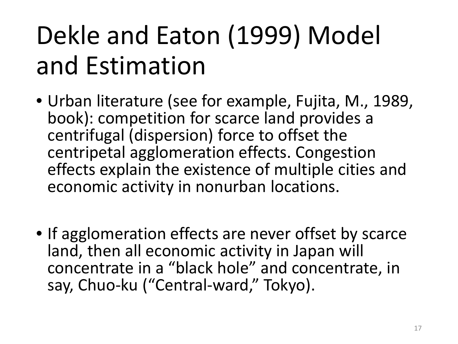## Dekle and Eaton (1999) Model and Estimation

- Urban literature (see for example, Fujita, M., 1989, book): competition for scarce land provides a centrifugal (dispersion) force to offset the centripetal agglomeration effects. Congestion effects explain the existence of multiple cities and economic activity in nonurban locations.
- If agglomeration effects are never offset by scarce land, then all economic activity in Japan will concentrate in a "black hole" and concentrate, in say, Chuo-ku ("Central-ward," Tokyo).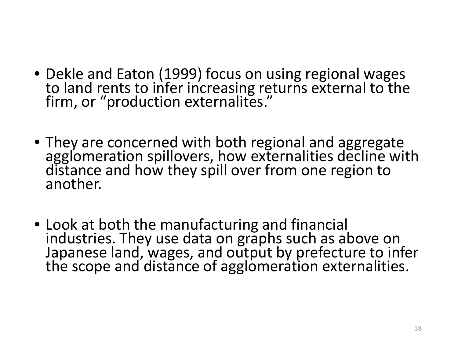- Dekle and Eaton (1999) focus on using regional wages to land rents to infer increasing returns external to the firm, or "production externalites."
- They are concerned with both regional and aggregate agglomeration spillovers, how externalities decline with distance and how they spill over from one region to another.
- Look at both the manufacturing and financial industries. They use data on graphs such as above on Japanese land, wages, and output by prefecture to infer the scope and distance of agglomeration externalities.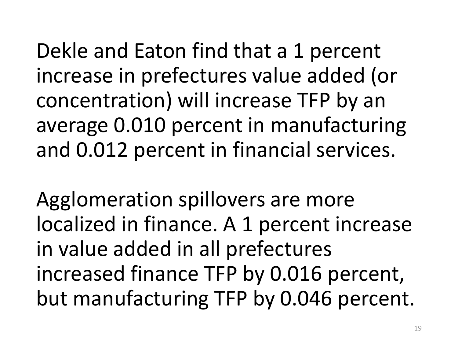Dekle and Eaton find that a 1 percent increase in prefectures value added (or concentration) will increase TFP by an average 0.010 percent in manufacturing and 0.012 percent in financial services.

Agglomeration spillovers are more localized in finance. A 1 percent increase in value added in all prefectures increased finance TFP by 0.016 percent, but manufacturing TFP by 0.046 percent.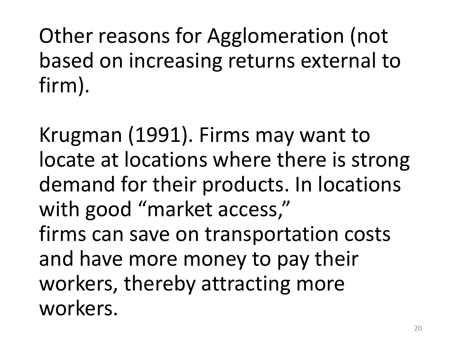Other reasons for Agglomeration (not based on increasing returns external to firm).

Krugman (1991). Firms may want to locate at locations where there is strong demand for their products. In locations with good "market access," firms can save on transportation costs and have more money to pay their workers, thereby attracting more workers.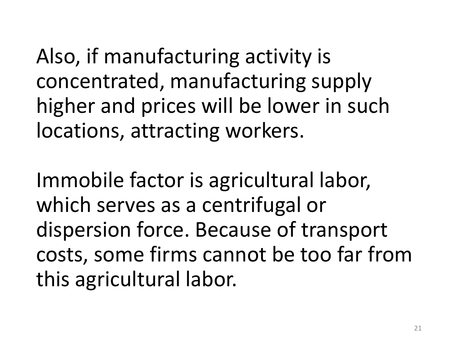Also, if manufacturing activity is concentrated, manufacturing supply higher and prices will be lower in such locations, attracting workers.

Immobile factor is agricultural labor, which serves as a centrifugal or dispersion force. Because of transport costs, some firms cannot be too far from this agricultural labor.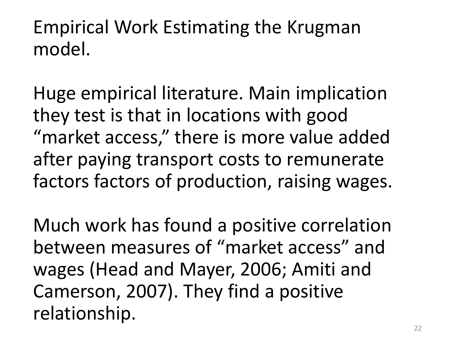#### Empirical Work Estimating the Krugman model.

Huge empirical literature. Main implication they test is that in locations with good "market access," there is more value added after paying transport costs to remunerate factors factors of production, raising wages.

Much work has found a positive correlation between measures of "market access" and wages (Head and Mayer, 2006; Amiti and Camerson, 2007). They find a positive relationship.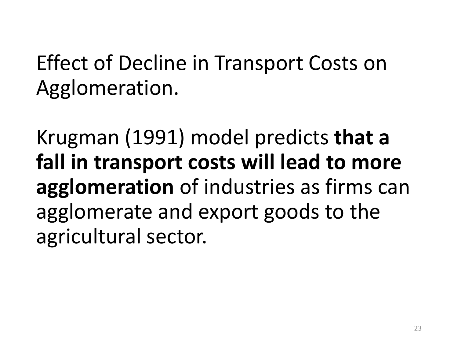Effect of Decline in Transport Costs on Agglomeration.

Krugman (1991) model predicts **that a fall in transport costs will lead to more agglomeration** of industries as firms can agglomerate and export goods to the agricultural sector.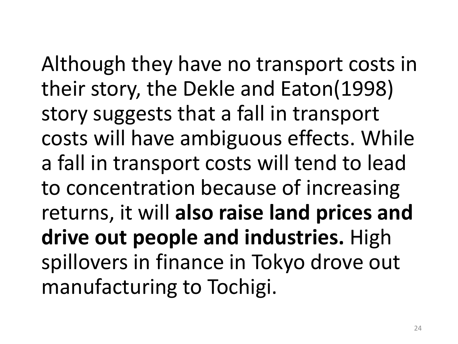Although they have no transport costs in their story, the Dekle and Eaton(1998) story suggests that a fall in transport costs will have ambiguous effects. While a fall in transport costs will tend to lead to concentration because of increasing returns, it will **also raise land prices and drive out people and industries.** High spillovers in finance in Tokyo drove out manufacturing to Tochigi.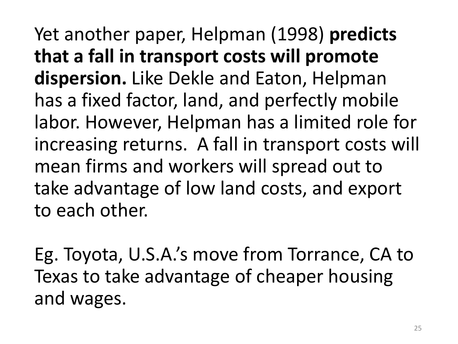Yet another paper, Helpman (1998) **predicts that a fall in transport costs will promote dispersion.** Like Dekle and Eaton, Helpman has a fixed factor, land, and perfectly mobile labor. However, Helpman has a limited role for increasing returns. A fall in transport costs will mean firms and workers will spread out to take advantage of low land costs, and export to each other.

Eg. Toyota, U.S.A.'s move from Torrance, CA to Texas to take advantage of cheaper housing and wages.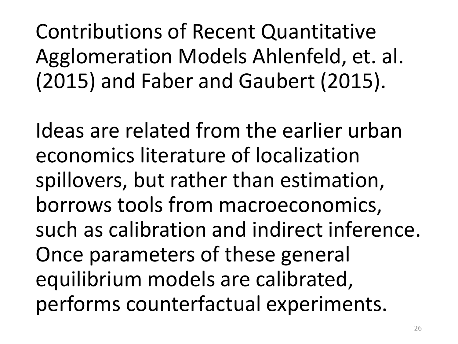Contributions of Recent Quantitative Agglomeration Models Ahlenfeld, et. al. (2015) and Faber and Gaubert (2015).

Ideas are related from the earlier urban economics literature of localization spillovers, but rather than estimation, borrows tools from macroeconomics, such as calibration and indirect inference. Once parameters of these general equilibrium models are calibrated, performs counterfactual experiments.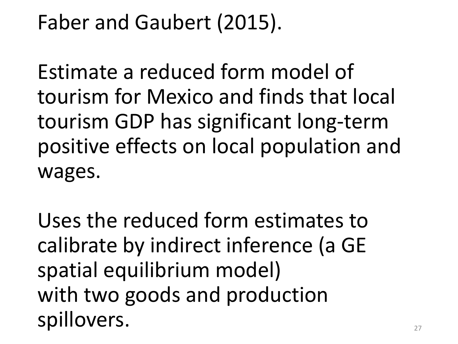#### Faber and Gaubert (2015).

Estimate a reduced form model of tourism for Mexico and finds that local tourism GDP has significant long-term positive effects on local population and wages.

Uses the reduced form estimates to calibrate by indirect inference (a GE spatial equilibrium model) with two goods and production spillovers.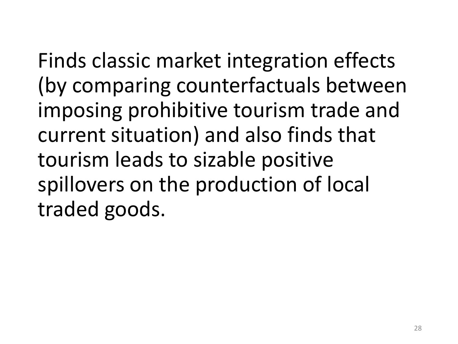Finds classic market integration effects (by comparing counterfactuals between imposing prohibitive tourism trade and current situation) and also finds that tourism leads to sizable positive spillovers on the production of local traded goods.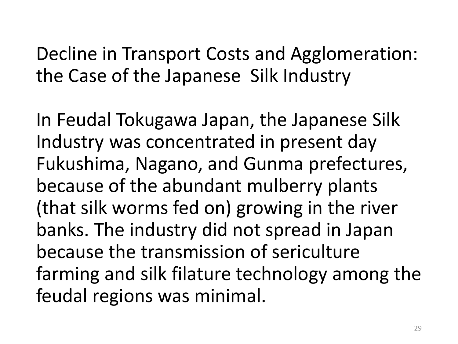#### Decline in Transport Costs and Agglomeration: the Case of the Japanese Silk Industry

In Feudal Tokugawa Japan, the Japanese Silk Industry was concentrated in present day Fukushima, Nagano, and Gunma prefectures, because of the abundant mulberry plants (that silk worms fed on) growing in the river banks. The industry did not spread in Japan because the transmission of sericulture farming and silk filature technology among the feudal regions was minimal.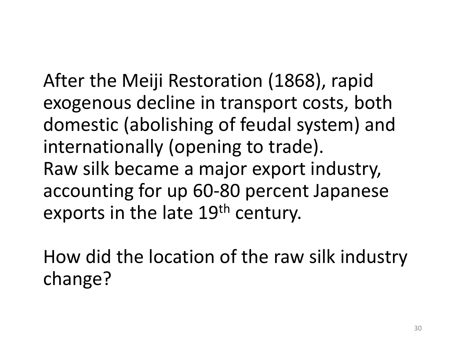After the Meiji Restoration (1868), rapid exogenous decline in transport costs, both domestic (abolishing of feudal system) and internationally (opening to trade). Raw silk became a major export industry, accounting for up 60-80 percent Japanese exports in the late 19<sup>th</sup> century.

How did the location of the raw silk industry change?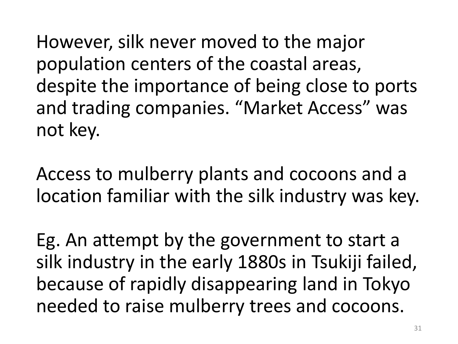However, silk never moved to the major population centers of the coastal areas, despite the importance of being close to ports and trading companies. "Market Access" was not key.

Access to mulberry plants and cocoons and a location familiar with the silk industry was key.

Eg. An attempt by the government to start a silk industry in the early 1880s in Tsukiji failed, because of rapidly disappearing land in Tokyo needed to raise mulberry trees and cocoons.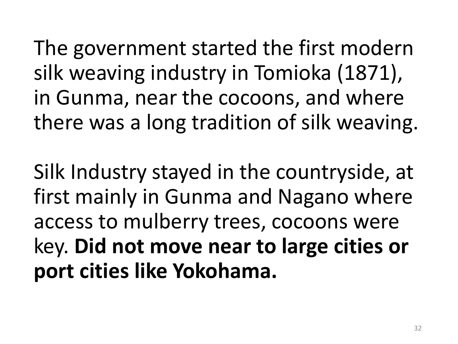The government started the first modern silk weaving industry in Tomioka (1871), in Gunma, near the cocoons, and where there was a long tradition of silk weaving.

Silk Industry stayed in the countryside, at first mainly in Gunma and Nagano where access to mulberry trees, cocoons were key. **Did not move near to large cities or port cities like Yokohama.**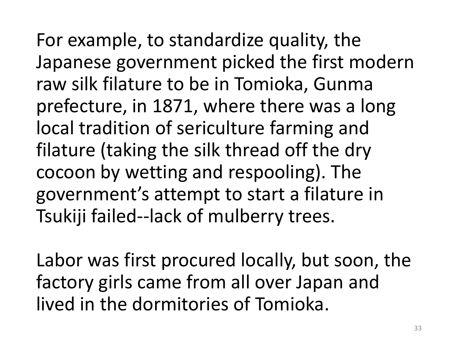For example, to standardize quality, the Japanese government picked the first modern raw silk filature to be in Tomioka, Gunma prefecture, in 1871, where there was a long local tradition of sericulture farming and filature (taking the silk thread off the dry cocoon by wetting and respooling). The government's attempt to start a filature in Tsukiji failed--lack of mulberry trees.

Labor was first procured locally, but soon, the factory girls came from all over Japan and lived in the dormitories of Tomioka.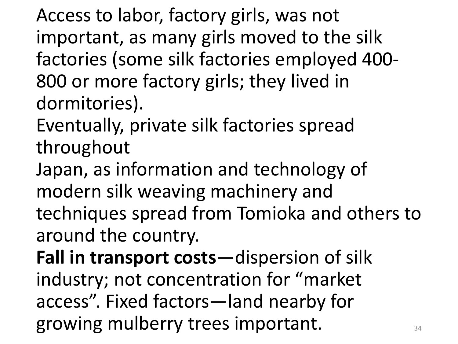Access to labor, factory girls, was not important, as many girls moved to the silk factories (some silk factories employed 400- 800 or more factory girls; they lived in dormitories).

Eventually, private silk factories spread throughout

Japan, as information and technology of modern silk weaving machinery and techniques spread from Tomioka and others to around the country.

**Fall in transport costs**—dispersion of silk industry; not concentration for "market access". Fixed factors—land nearby for growing mulberry trees important.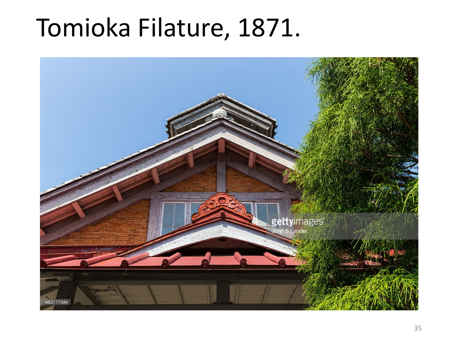#### Tomioka Filature, 1871.

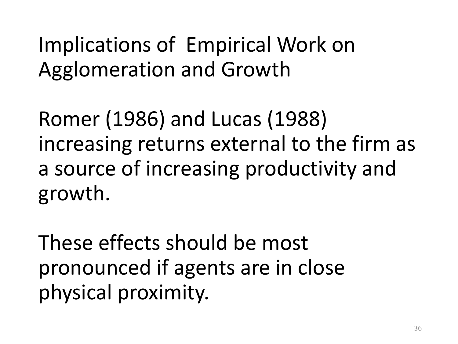Implications of Empirical Work on Agglomeration and Growth

Romer (1986) and Lucas (1988) increasing returns external to the firm as a source of increasing productivity and growth.

These effects should be most pronounced if agents are in close physical proximity.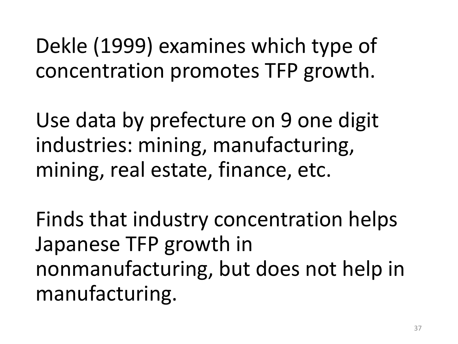Dekle (1999) examines which type of concentration promotes TFP growth.

Use data by prefecture on 9 one digit industries: mining, manufacturing, mining, real estate, finance, etc.

Finds that industry concentration helps Japanese TFP growth in nonmanufacturing, but does not help in manufacturing.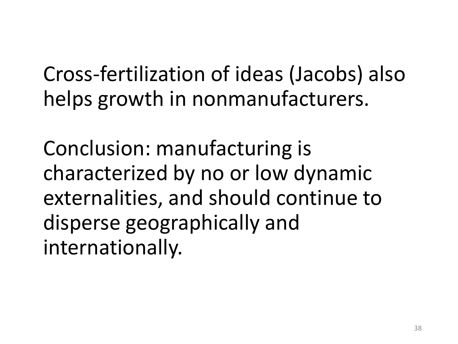Cross-fertilization of ideas (Jacobs) also helps growth in nonmanufacturers.

Conclusion: manufacturing is characterized by no or low dynamic externalities, and should continue to disperse geographically and internationally.